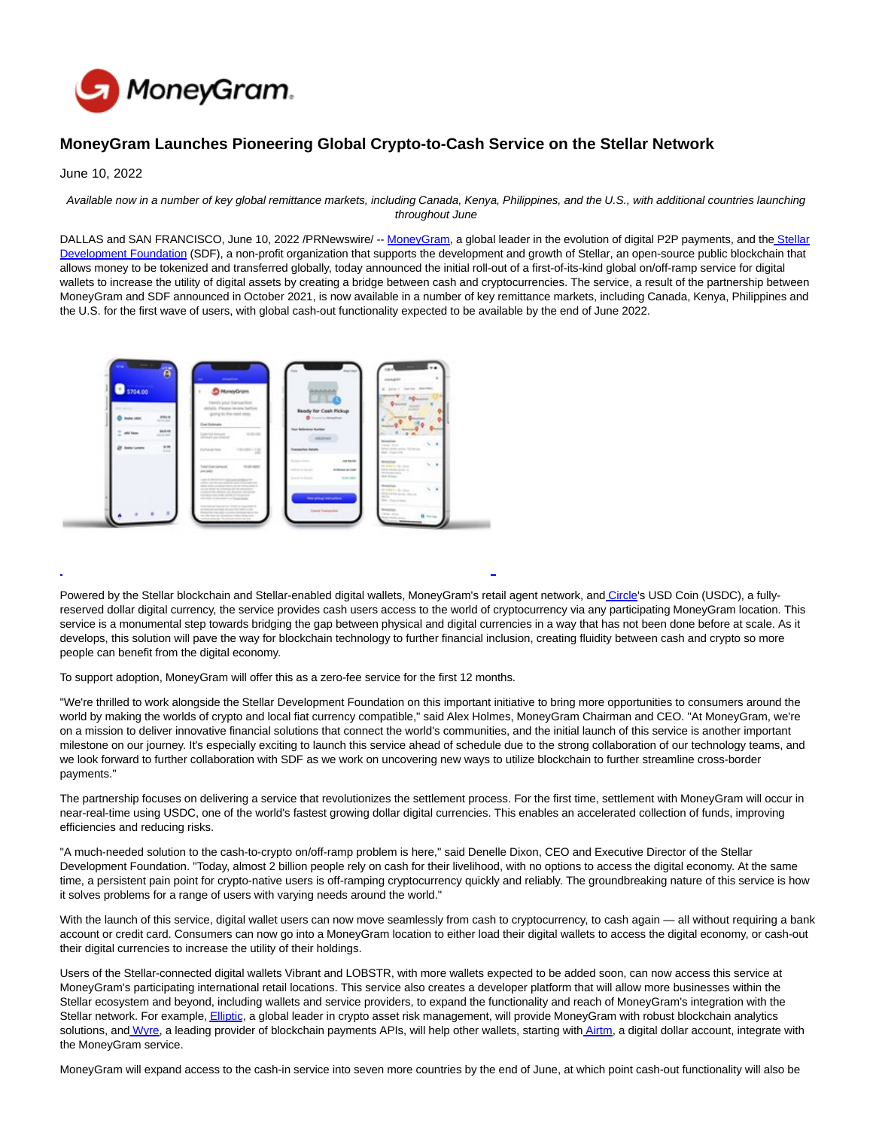

# **MoneyGram Launches Pioneering Global Crypto-to-Cash Service on the Stellar Network**

June 10, 2022

#### Available now in a number of key global remittance markets, including Canada, Kenya, Philippines, and the U.S., with additional countries launching throughout June

DALLAS and SAN FRANCISCO, June 10, 2022 /PRNewswire/ -- [MoneyGram,](https://c212.net/c/link/?t=0&l=en&o=3563599-1&h=455863548&u=https%3A%2F%2Fwww.moneygram.com%2Fmgo%2Fus%2Fen%2F&a=MoneyGram) a global leader in the evolution of digital P2P payments, and the [Stellar](https://c212.net/c/link/?t=0&l=en&o=3563599-1&h=1643445313&u=https%3A%2F%2Fwww.stellar.org%2Ffoundation%3Flocale%3Den&a=Stellar+Development+Foundation) Development Foundation (SDF), a non-profit organization that supports the development and growth of Stellar, an open-source public blockchain that allows money to be tokenized and transferred globally, today announced the initial roll-out of a first-of-its-kind global on/off-ramp service for digital wallets to increase the utility of digital assets by creating a bridge between cash and cryptocurrencies. The service, a result of the partnership between MoneyGram and SDF announced in October 2021, is now available in a number of key remittance markets, including Canada, Kenya, Philippines and the U.S. for the first wave of users, with global cash-out functionality expected to be available by the end of June 2022.



Powered by the Stellar blockchain and Stellar-enabled digital wallets, MoneyGram's retail agent network, and [Circle's](https://c212.net/c/link/?t=0&l=en&o=3563599-1&h=70509322&u=https%3A%2F%2Fwww.circle.com%2Fen%2F&a=Circle) USD Coin (USDC), a fullyreserved dollar digital currency, the service provides cash users access to the world of cryptocurrency via any participating MoneyGram location. This service is a monumental step towards bridging the gap between physical and digital currencies in a way that has not been done before at scale. As it develops, this solution will pave the way for blockchain technology to further financial inclusion, creating fluidity between cash and crypto so more people can benefit from the digital economy.

 $\overline{a}$ 

To support adoption, MoneyGram will offer this as a zero-fee service for the first 12 months.

"We're thrilled to work alongside the Stellar Development Foundation on this important initiative to bring more opportunities to consumers around the world by making the worlds of crypto and local fiat currency compatible," said Alex Holmes, MoneyGram Chairman and CEO. "At MoneyGram, we're on a mission to deliver innovative financial solutions that connect the world's communities, and the initial launch of this service is another important milestone on our journey. It's especially exciting to launch this service ahead of schedule due to the strong collaboration of our technology teams, and we look forward to further collaboration with SDF as we work on uncovering new ways to utilize blockchain to further streamline cross-border payments."

The partnership focuses on delivering a service that revolutionizes the settlement process. For the first time, settlement with MoneyGram will occur in near-real-time using USDC, one of the world's fastest growing dollar digital currencies. This enables an accelerated collection of funds, improving efficiencies and reducing risks.

"A much-needed solution to the cash-to-crypto on/off-ramp problem is here," said Denelle Dixon, CEO and Executive Director of the Stellar Development Foundation. "Today, almost 2 billion people rely on cash for their livelihood, with no options to access the digital economy. At the same time, a persistent pain point for crypto-native users is off-ramping cryptocurrency quickly and reliably. The groundbreaking nature of this service is how it solves problems for a range of users with varying needs around the world."

With the launch of this service, digital wallet users can now move seamlessly from cash to cryptocurrency, to cash again — all without requiring a bank account or credit card. Consumers can now go into a MoneyGram location to either load their digital wallets to access the digital economy, or cash-out their digital currencies to increase the utility of their holdings.

Users of the Stellar-connected digital wallets Vibrant and LOBSTR, with more wallets expected to be added soon, can now access this service at MoneyGram's participating international retail locations. This service also creates a developer platform that will allow more businesses within the Stellar ecosystem and beyond, including wallets and service providers, to expand the functionality and reach of MoneyGram's integration with the Stellar network. For example[, Elliptic,](https://c212.net/c/link/?t=0&l=en&o=3563599-1&h=2622264977&u=https%3A%2F%2Fwww.elliptic.co%2F&a=Elliptic) a global leader in crypto asset risk management, will provide MoneyGram with robust blockchain analytics solutions, and [Wyre,](https://c212.net/c/link/?t=0&l=en&o=3563599-1&h=2935876029&u=https%3A%2F%2Fwww.sendwyre.com%2F&a=Wyre) a leading provider of blockchain payments APIs, will help other wallets, starting with [Airtm,](https://c212.net/c/link/?t=0&l=en&o=3563599-1&h=624095618&u=https%3A%2F%2Fwww.airtm.com%2Fen%2F&a=Airtm) a digital dollar account, integrate with the MoneyGram service.

MoneyGram will expand access to the cash-in service into seven more countries by the end of June, at which point cash-out functionality will also be